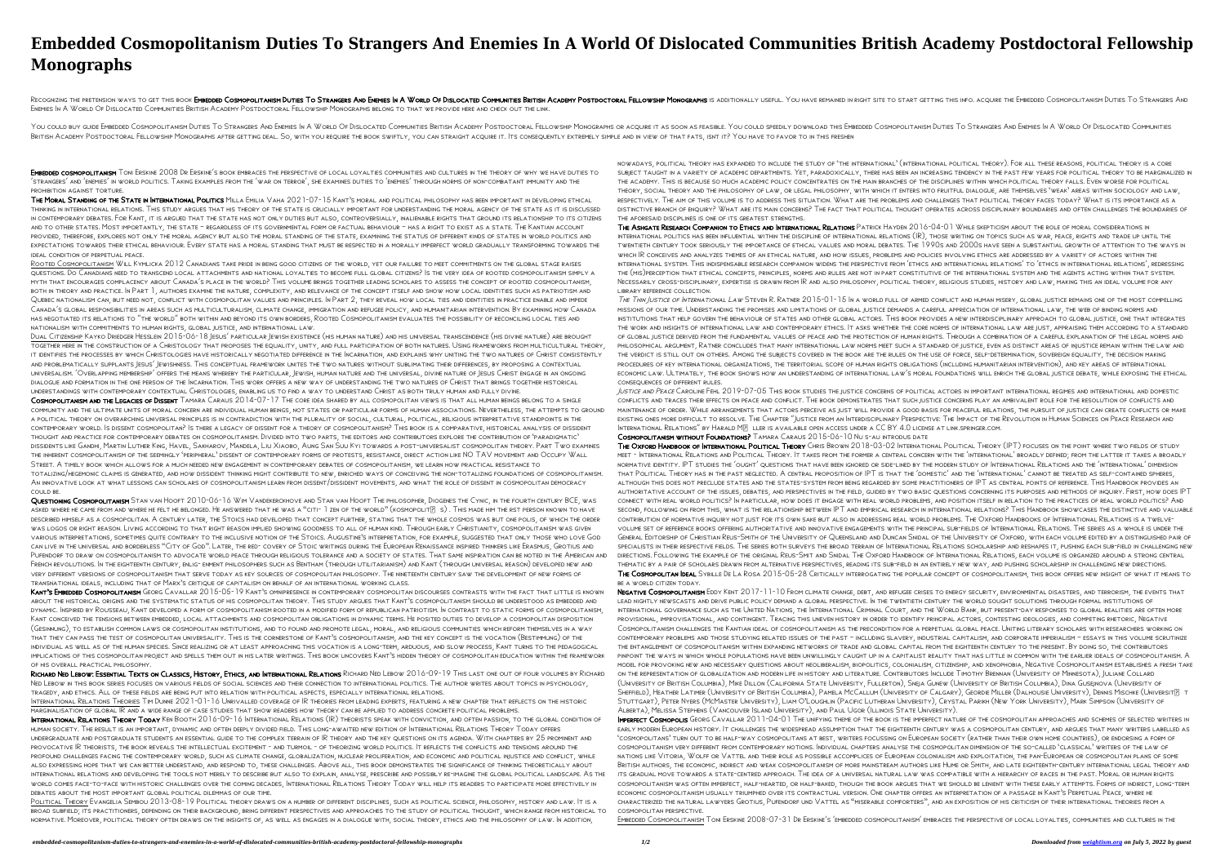## **Embedded Cosmopolitanism Duties To Strangers And Enemies In A World Of Dislocated Communities British Academy Postdoctoral Fellowship Monographs**

RECOGNIZING THE PRETENSION WAYS TO GET THIS BOOK **EMBEDDED COSMOPOLITANISM DUTIES TO STRANGERS AND ENEMIES IN A WORLD OF DISLOCATED COMMUNITIES BRITISH ACADEMY POSTDOCTORAL FELLOWSHIP MONOGRAPHS IS ADDITIONALLY USEFUL. YOU** Enemies In A World Of Dislocated Communities British Academy Postdoctoral Fellowship Monographs belong to that we provide here and check out the link.

YOU COULD BUY GUIDE EMBEDDED COSMOPOLITANISM DUTIES TO STRANGERS AND ENEMIES IN A WORLD OF DISLOCATED COMMUNITIES BRITISH ACADEMY POSTDOCTORAL FELLOWSHIP MONOGRAPHS OR ACQUIRE IT AS SOON AS FEASIBLE. YOU COULD SPEEDILY DOW BRITISH ACADEMY POSTDOCTORAL FELLOWSHIP MONOGRAPHS AFTER GETTING DEAL. SO, WITH YOU REQUIRE THE BOOK SWIFTLY, YOU CAN STRAIGHT ACQUIRE IT. ITS CONSEQUENTLY EXTREMELY SIMPLE AND IN VIEW OF THAT FATS, ISNT IT? YOU HAVE TO FA

EMBEDDED COSMOPOLITANISM TONI ERSKINE 2008 DR ERSKINE'S BOOK EMBRACES THE PERSPECTIVE OF LOCAL LOYALTIES COMMUNITIES AND CULTURES IN THE THEORY OF WHY WE HAVE DUTIES TO 'strangers' and 'enemies' in world politics. Taking examples from the 'war on terror', she examines duties to 'enemies' through norms of non-combatant immunity and the prohibition against torture.

THE MORAL STANDING OF THE STATE IN INTERNATIONAL POLITICS MILLA EMILIA VAHA 2021-07-15 KANT'S MORAL AND POLITICAL PHILOSOPHY HAS BEEN IMPORTANT IN DEVELOPING ETHICAL thinking in international relations. This study argues that his theory of the state is crucially important for understanding the moral agency of the state as it is discussed in contemporary debates. For Kant, it is argued that the state has not only duties but also, controversially, inalienable rights that ground its relationship to its citizens and to other states. Most importantly, the state – regardless of its governmental form or factual behaviour – has a right to exist as a state. The Kantian account provided, therefore, explores not only the moral agency but also the moral standing of the state, examining the status of different kinds of states in world politics and expectations towards their ethical behaviour. Every state has a moral standing that must be respected in a morally imperfect world gradually transforming towards the ideal condition of perpetual peace.

COSMOPOLITANISM AND THE LEGACIES OF DISSENT TAMARA CARAUS 2014-07-17 THE CORE IDEA SHARED BY ALL COSMOPOLITAN VIEWS IS THAT ALL HUMAN BEINGS BELONG TO A SINGLE community and the ultimate units of moral concern are individual human beings, not states or particular forms of human associations. Nevertheless, the attempts to ground a political theory on overarching universal principles is in contradiction with the plurality of social, cultural, political, religious interpretative standpoints in the contemporary world. Is dissent cosmopolitan? Is there a legacy of dissent for a theory of cosmopolitanism? This book is a comparative, historical analysis of dissident thought and practice for contemporary debates on cosmopolitanism. Divided into two parts, the editors and contributors explore the contribution of 'paradigmatic' dissidents like Gandhi, Martin Luther King, Havel, Sakharov, Mandela, Liu Xiaobo, Aung San Suu Kyi towards a post-universalist cosmopolitan theory. Part Two examines the inherent cosmopolitanism of the seemingly 'peripheral' dissent of contemporary forms of protests, resistance, direct action like NO TAV movement and Occupy Wall Street. A timely book which allows for a much needed new engagement in contemporary debates of cosmopolitanism, we learn how practical resistance to totalizing/hegemonic claims is generated, and how dissident thinking might contribute to new, enriched ways of conceiving the non-totalizing foundations of cosmopolitanism. An innovative look at what lessons can scholars of cosmopolitanism learn from dissent/dissident movements, and what the role of dissent in cosmopolitan democracy could be.

Rooted Cosmopolitanism Will Kymlicka 2012 Canadians take pride in being good citizens of the world, yet our failure to meet commitments on the global stage raises questions. Do Canadians need to transcend local attachments and national loyalties to become full global citizens? Is the very idea of rooted cosmopolitanism simply a myth that encourages complacency about Canada's place in the world? This volume brings together leading scholars to assess the concept of rooted cosmopolitanism, both in theory and practice. In Part 1, authors examine the nature, complexity, and relevance of the concept itself and show how local identities such as patriotism and Quebec nationalism can, but need not, conflict with cosmopolitan values and principles. In Part 2, they reveal how local ties and identities in practice enable and impede Canada's global responsibilities in areas such as multiculturalism, climate change, immigration and refugee policy, and humanitarian intervention. By examining how Canada has negotiated its relations to "the world" both within and beyond its own borders, Rooted Cosmopolitanism evaluates the possibility of reconciling local ties and nationalism with commitments to human rights, global justice, and international law.

QUESTIONING COSMOPOLITANISM STAN VAN HOOFT 2010-06-16 WIM VANDEKERCKHOVE AND STAN VAN HOOFT THE PHILOSOPHER, DIOGENES THE CYNIC, IN THE FOURTH CENTURY BCE, WAS ASKED WHERE HE CAME FROM AND WHERE HE FELT HE BELONGED. HE ANSWERED THAT HE WAS A "CITI-  $1$  zen of the world" (kosmopolit $[?]$  s). This made him the rst person known to have described himself as a cosmopolitan. A century later, the Stoics had developed that concept further, stating that the whole cosmos was but one polis, of which the order was logos or right reason. Living according to that right reason implied showing goodness to all of human kind. Through early Christianity, cosmopolitanism was given various interpretations, sometimes quite contrary to the inclusive notion of the Stoics. Augustine's interpretation, for example, suggested that only those who love God can live in the universal and borderless "City of God". Later, the red- covery of Stoic writings during the European Renaissance inspired thinkers like Erasmus, Grotius and PUFENDORF TO DRAW ON COSMOPOLITANISM TO ADVOCATE WORLD PEACE THROUGH RELIGIOUS TOLERANCE AND A SOCIETY OF STATES. THAT SAME INSPIRATION CAN BE NOTED IN THE AMERICAN AND French revolutions. In the eighteenth century, enlig- enment philosophers such as Bentham (through utilitarianism) and Kant (through universal reason) developed new and very different versions of cosmopolitanism that serve today as key sources of cosmopolitan philosophy. The nineteenth century saw the development of new forms of transnational ideals, including that of Marx's critique of capitalism on behalf of an international working class.

Dual Citizenship Kayko Driedger Hesslein 2015-06-18 Jesus' particular Jewish existence (his human nature) and his universal transcendence (his divine nature) are brought together here in the construction of a Christology that proposes the equality, unity, and full participation of both natures. Using frameworks from multicultural theory, it identifies the processes by which Christologies have historically negotiated difference in the Incarnation, and explains why uniting the two natures of Christ consistently and problematically supplants Jesus' Jewishness. This conceptual framework unites the two natures without sublimating their differences, by proposing a contextual universalism. 'Overlapping membership' offers the means whereby the particular, Jewish, human nature and the universal, divine nature of Jesus Christ engage in an ongoing dialogue and formation in the one person of the Incarnation. This work offers a new way of understanding the two natures of Christ that brings together historical understandings with contemporary contextual Christologies, enabling us to find a way to understand Christ as both truly human and fully divine.

KANT'S EMBEDDED COSMOPOLITANISM GEORG CAVALLAR 2015-05-19 KANT'S OMNIPRESENCE IN CONTEMPORARY COSMOPOLITAN DISCOURSES CONTRASTS WITH THE FACT THAT LITTLE IS KNOWN about the historical origins and the systematic status of his cosmopolitan theory. This study argues that Kant's cosmopolitanism should be understood as embedded and dynamic. Inspired by Rousseau, Kant developed a form of cosmopolitanism rooted in a modified form of republican patriotism. In contrast to static forms of cosmopolitanism, Kant conceived the tensions between embedded, local attachments and cosmopolitan obligations in dynamic terms. He posited duties to develop a cosmopolitan disposition (Gesinnung), to establish common laws or cosmopolitan institutions, and to found and promote legal, moral, and religious communities which reform themselves in a way that they can pass the test of cosmopolitan universality. This is the cornerstone of Kant's cosmopolitanism, and the key concept is the vocation (Bestimmung) of the individual as well as of the human species. Since realizing or at least approaching this vocation is a long-term, arduous, and slow process, Kant turns to the pedagogical implications of this cosmopolitan project and spells them out in his later writings. This book uncovers Kant's hidden theory of cosmopolitan education within the framework of his overall practical philosophy.

WHICH IR CONCEIVES AND ANALYZES THEMES OF AN ETHICAL NATURE, AND HOW ISSUES, PROBLEMS AND POLICIES INVOLVING ETHICS ARE ADDRESSED BY A VARIETY OF ACTORS WITHIN THE international system. This indispensable research companion widens the perspective from 'ethics and international relations' to 'ethics in international relations', redressing the (mis)perception that ethical concepts, principles, norms and rules are not in part constitutive of the international system and the agents acting within that system. Necessarily cross-disciplinary, expertise is drawn from IR and also philosophy, political theory, religious studies, history and law, making this an ideal volume for any library reference collection. THE THIN JUSTICE OF INTERNATIONAL LAW STEVEN R. RATNER 2015-01-15 IN A WORLD FULL OF ARMED CONFLICT AND HUMAN MISERY, GLOBAL JUSTICE REMAINS ONE OF THE MOST COMPELLING missions of our time. Understanding the promises and limitations of global justice demands a careful appreciation of international law, the web of binding norms and institutions that help govern the behaviour of states and other global actors. This book provides a new interdisciplinary approach to global justice, one that integrates the work and insights of international law and contemporary ethics. It asks whether the core norms of international law are just, appraising them according to a standard of global justice derived from the fundamental values of peace and the protection of human rights. Through a combination of a careful explanation of the legal norms and philosophical argument, Ratner concludes that many international law norms meet such a standard of justice, even as distinct areas of injustice remain within the law and the verdict is still out on others. Among the subjects covered in the book are the rules on the use of force, self-determination, sovereign equality, the decision making procedures of key international organizations, the territorial scope of human rights obligations (including humanitarian intervention), and key areas of international economic law. Ultimately, the book shows how an understanding of international law's moral foundations will enrich the global justice debate, while exposing the ethical consequences of different rules. JUSTICE AND PEACE CAROLINE FEHL 2019-07-05 THIS BOOK STUDIES THE JUSTICE CONCERNS OF POLITICAL ACTORS IN IMPORTANT INTERNATIONAL REGIMES AND INTERNATIONAL AND DOMESTIC conflicts and traces their effects on peace and conflict. The book demonstrates that such justice concerns play an ambivalent role for the resolution of conflicts and maintenance of order. While arrangements that actors perceive as just will provide a good basis for peaceful relations, the pursuit of justice can create conflicts or make existing ones more difficult to resolve. The Chapter "Justice from an Interdisciplinary Perspective: The Impact of the Revolution in Human Sciences on Peace Research and INTERNATIONAL RELATIONS" BY HARALD MP LLER IS AVAILABLE OPEN ACCESS UNDER A CC BY 4.0 LICENSE AT LINK.SPRINGER.COM. Cosmopolitanism without Foundations? Tamara Caraus 2015-06-10 Nu s-au introdus date

THE OXFORD HANDBOOK OF INTERNATIONAL POLITICAL THEORY CHRIS BROWN 2018-03-02 INTERNATIONAL POLITICAL THEORY (IPT) FOCUSES ON THE POINT WHERE TWO FIELDS OF STUDY meet - International Relations and Political Theory. It takes from the former a central concern with the 'international' broadly defined; from the latter it takes a broadly normative identity. IPT studies the 'ought' questions that have been ignored or side-lined by the modern study of International Relations and the 'international' dimension that Political Theory has in the past neglected. A central proposition of IPT is that the 'domestic' and the 'international' cannot be treated as self-contained spheres, although this does not preclude states and the states-system from being regarded by some practitioners of IPT as central points of reference. This Handbook provides an authoritative account of the issues, debates, and perspectives in the field, guided by two basic questions concerning its purposes and methods of inquiry. First, how does IPT connect with real world politics? In particular, how does it engage with real world problems, and position itself in relation to the practices of real world politics? And second, following on from this, what is the relationship between IPT and empirical research in international relations? This Handbook showcases the distinctive and valuable contribution of normative inquiry not just for its own sake but also in addressing real world problems. The Oxford Handbooks of International Relations is a twelvevolume set of reference books offering authoritative and innovative engagements with the principal sub-fields of International Relations. The series as a whole is under the General Editorship of Christian Reus-Smith of the University of Queensland and Duncan Snidal of the University of Oxford, with each volume edited by a distinguished pair of specialists in their respective fields. The series both surveys the broad terrain of International Relations scholarship and reshapes it, pushing each sub-field in challenging new directions. Following the example of the original Reus-Smit and Snidal The Oxford Handbook of International Relations, each volume is organized around a strong central thematic by a pair of scholars drawn from alternative perspectives, reading its sub-field in an entirely new way, and pushing scholarship in challenging new directions. THE COSMOPOLITAN IDEAL SYBILLE DE LA ROSA 2015-05-28 CRITICALLY INTERROGATING THE POPULAR CONCEPT OF COSMOPOLITANISM, THIS BOOK OFFERS NEW INSIGHT OF WHAT IT MEANS TO be a world citizen today.

Richard Ned Lebow: Essential Texts on Classics, History, Ethics, and International Relations Richard Ned Lebow 2016-09-19 This last one out of four volumes by Richard NED LEBOW IN THIS BOOK SERIES FOCUSES ON VARIOUS FIELDS OF SOCIAL SCIENCES AND THEIR CONNECTION TO INTERNATIONAL POLITICS. THE AUTHOR WRITES ABOUT TOPICS IN PSYCHOLOGY, tragedy, and ethics. All of these fields are being put into relation with political aspects, especially international relations.

International Relations Theories Tim Dunne 2021-01-16 Unrivalled coverage of IR theories from leading experts, featuring a new chapter that reflects on the historic marginalisation of global IR and a wide range of case studies that show readers how theory can be applied to address concrete political problems.

International Relations Theory Today Ken Booth 2016-09-16 International Relations (IR) theorists speak with conviction, and often passion, to the global condition of human society. The result is an important, dynamic and often deeply divided field. This long-awaited new edition of International Relations Theory Today offers undergraduate and postgraduate students an essential guide to the complex terrain of IR theory and the key questions on its agenda. With chapters by 25 prominent and provocative IR theorists, the book reveals the intellectual excitement - and turmoil - of theorizing world politics. It reflects the conflicts and tensions around the profound challenges facing the contemporary world, such as climate change, globalization, nuclear proliferation, and economic and political injustice and conflict, while also expressing hope that we can better understand, and respond to, these challenges. Above all, this book demonstrates the significance of thinking theoretically about international relations and developing the tools not merely to describe but also to explain, analyse, prescribe and possibly re-imagine the global political landscape. As the world comes face-to-face with historic challenges over the coming decades, International Relations Theory Today will help its readers to participate more effectively in debates about the most important global political dilemmas of our time.

NEGATIVE COSMOPOLITANISM EDDY KENT 2017-11-10 FROM CLIMATE CHANGE, DEBT, AND REFUGEE CRISES TO ENERGY SECURITY, ENVIRONMENTAL DISASTERS, AND TERRORISM, THE EVENTS THAT lead nightly newscasts and drive public policy demand a global perspective. In the twentieth century the world sought solutions through formal institutions of international governance such as the United Nations, the International Criminal Court, and the World Bank, but present-day responses to global realities are often more provisional, improvisational, and contingent. Tracing this uneven history in order to identify principal actors, contesting ideologies, and competing rhetoric, Negative Cosmopolitanism challenges the Kantian ideal of cosmopolitanism as the precondition for a perpetual global peace. Uniting literary scholars with researchers working on contemporary problems and those studying related issues of the past – including slavery, industrial capitalism, and corporate imperialism – essays in this volume scrutinize the entanglement of cosmopolitanism within expanding networks of trade and global capital from the eighteenth century to the present. By doing so, the contributors pinpoint the ways in which whole populations have been unwillingly caught up in a capitalist reality that has little in common with the earlier ideals of cosmopolitanism. A model for provoking new and necessary questions about neoliberalism, biopolitics, colonialism, citizenship, and xenophobia, Negative Cosmopolitanism establishes a fresh take on the representation of globalization and modern life in history and literature. Contributors Include Timothy Brennan (University of Minnesota), Juliane Collard (University of British Columbia), Mike Dillon (California State University, Fullerton), Sneja Gunew (University of British Columbia), Dina Gusejnova (University of SHEFFIELD), HEATHER LATIMER (UNIVERSITY OF BRITISH COLUMBIA), PAMELA MCCALLUM (UNIVERSITY OF CALGARY), GEORDIE MILLER (DALHOUSIE UNIVERSITY), DENNIS MISCHKE (UNIVERSIT $[3]$  T Stuttgart), Peter Nyers (McMaster University), Liam O'Loughlin (Pacific Lutheran University), Crystal Parikh (New York University), Mark Simpson (University of Alberta), Melissa Stephens (Vancouver Island University), and Paul Ugor (Illinois State University). IMPERFECT COSMOPOLIS GEORG CAVALLAR 2011-04-01 THE UNIFYING THEME OF THE BOOK IS THE IMPERFECT NATURE OF THE COSMOPOLITAN APPROACHES AND SCHEMES OF SELECTED WRITERS IN early modern European history. It challenges the widespread assumption that the eighteenth century was a cosmopolitan century, and argues that many writers labelled as 'cosmopolitans' turn out to be half-way cosmopolitans at best, writers focussing on European society (rather than their own home countries), or endorsing a form of cosmopolitanism very different from contemporary notions. Individual chapters analyse the cosmopolitan dimension of the so-called 'classical' writers of the law of nations like Vitoria, Wolff or Vattel and their role as possible accomplices of European colonialism and exploitation, the pan-European or cosmopolitan plans of some British authors, the economic, indirect and weak cosmopolitanism of more mainstream authors like Hume or Smith, and late eighteenth-century international legal theory and its gradual move towards a state-centred approach. The idea of a universal natural law was compatible with a hierarchy of races in the past. Moral or human rights cosmopolitanism was often imperfect, half-hearted, or half-baked, though the book argues that we should be lenient with these early attempts. Forms of indirect, long-term economic cosmopolitanism usually triumphed over its contractual version. One chapter offers an interpretation of a passage in Kant's Perpetual Peace, where he characterized the natural lawyers Grotius, Pufendorf und Vattel as "miserable comforters", and an exposition of his criticism of their international theories from a cosmopolitan perspective.

Political Theory Evangelia Sembou 2013-08-19 Political theory draws on a number of different disciplines, such as political science, philosophy, history and law. It is a broad subfield; its practitioners, depending on their background, bring different perspectives and approaches to the study of political thought, which range from historical to normative. Moreover, political theory often draws on the insights of, as well as engages in a dialogue with, social theory, ethics and the philosophy of law. In addition,

nowadays, political theory has expanded to include the study of 'the international' (international political theory). For all these reasons, political theory is a core subject taught in a variety of academic departments. Yet, paradoxically, there has been an increasing tendency in the past few years for political theory to be marginalized in the academy. This is because so much academic policy concentrates on the main branches of the disciplines within which political theory falls. Even worse for political theory, social theory and the philosophy of law, or legal philosophy, with which it enters into fruitful dialogue, are themselves 'weak' areas within sociology and law, respectively. The aim of this volume is to address this situation. What are the problems and challenges that political theory faces today? What is its importance as a DISTINCTIVE BRANCH OF ENQUIRY? WHAT ARE ITS MAIN CONCERNS? THE FACT THAT POLITICAL THOUGHT OPERATES ACROSS DISCIPLINARY BOUNDARIES AND OFTEN CHALLENGES THE BOUNDARIES OF the aforesaid disciplines is one of its greatest strengths. THE ASHGATE RESEARCH COMPANION TO ETHICS AND INTERNATIONAL RELATIONS PATRICK HAYDEN 2016-04-01 WHILE SKEPTICISM ABOUT THE ROLE OF MORAL CONSIDERATIONS IN international politics has been influential within the discipline of international relations (IR), those writing on topics such as war, peace, rights and trade up until the

twentieth century took seriously the importance of ethical values and moral debates. The 1990s and 2000s have seen a substantial growth of attention to the ways in

Embedded Cosmopolitanism Toni Erskine 2008-07-31 Dr Erskine's 'embedded cosmopolitanism' embraces the perspective of local loyalties, communities and cultures in the